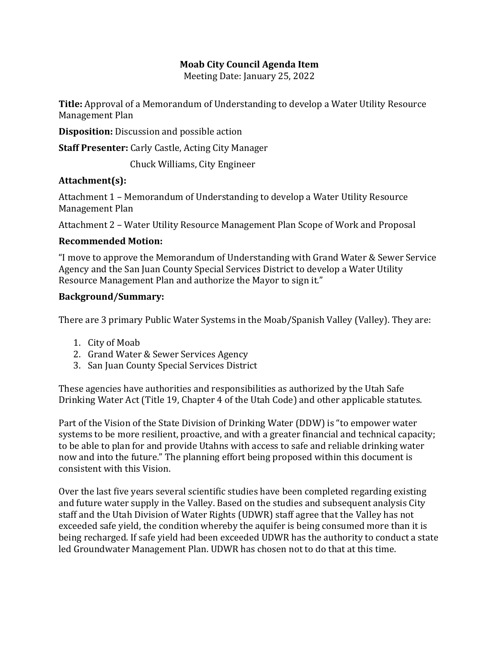## **Moab City Council Agenda Item**

Meeting Date: January 25, 2022

**Title:** Approval of a Memorandum of Understanding to develop a Water Utility Resource Management Plan

**Disposition:** Discussion and possible action

**Staff Presenter:** Carly Castle, Acting City Manager

Chuck Williams, City Engineer

## **Attachment(s):**

Attachment 1 – Memorandum of Understanding to develop a Water Utility Resource Management Plan

Attachment 2 – Water Utility Resource Management Plan Scope of Work and Proposal

## **Recommended Motion:**

"I move to approve the Memorandum of Understanding with Grand Water & Sewer Service Agency and the San Juan County Special Services District to develop a Water Utility Resource Management Plan and authorize the Mayor to sign it."

## **Background/Summary:**

There are 3 primary Public Water Systems in the Moab/Spanish Valley (Valley). They are:

- 1. City of Moab
- 2. Grand Water & Sewer Services Agency
- 3. San Juan County Special Services District

These agencies have authorities and responsibilities as authorized by the Utah Safe Drinking Water Act (Title 19, Chapter 4 of the Utah Code) and other applicable statutes.

Part of the Vision of the State Division of Drinking Water (DDW) is "to empower water systems to be more resilient, proactive, and with a greater financial and technical capacity; to be able to plan for and provide Utahns with access to safe and reliable drinking water now and into the future." The planning effort being proposed within this document is consistent with this Vision.

Over the last five years several scientific studies have been completed regarding existing and future water supply in the Valley. Based on the studies and subsequent analysis City staff and the Utah Division of Water Rights (UDWR) staff agree that the Valley has not exceeded safe yield, the condition whereby the aquifer is being consumed more than it is being recharged. If safe yield had been exceeded UDWR has the authority to conduct a state led Groundwater Management Plan. UDWR has chosen not to do that at this time.